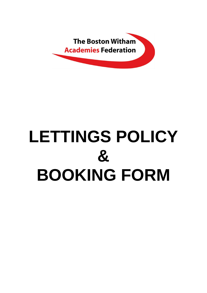

# **LETTINGS POLICY & BOOKING FORM**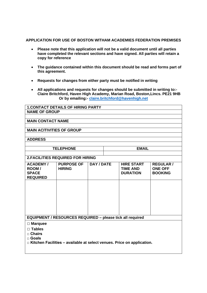# **APPLICATION FOR USE OF BOSTON WITHAM ACADEMIES FEDERATION PREMISES**

- **Please note that this application will not be a valid document until all parties have completed the relevant sections and have signed. All parties will retain a copy for reference**
- **The guidance contained within this document should be read and forms part of this agreement.**
- **Requests for changes from either party must be notified in writing**
- **All applications and requests for changes should be submitted in writing to:- Claire Britchford, Haven High Academy, Marian Road, Boston,Lincs. PE21 9HB Or by emailing:- [claire.britchford@havenhigh.net](mailto:claire.britchford@havenhigh.net)**

| <b>1. CONTACT DETAILS OF HIRING PARTY</b>                                     |                   |            |              |                   |                  |  |
|-------------------------------------------------------------------------------|-------------------|------------|--------------|-------------------|------------------|--|
| <b>NAME OF GROUP</b>                                                          |                   |            |              |                   |                  |  |
|                                                                               |                   |            |              |                   |                  |  |
| <b>MAIN CONTACT NAME</b>                                                      |                   |            |              |                   |                  |  |
|                                                                               |                   |            |              |                   |                  |  |
| <b>MAIN ACITIVITIES OF GROUP</b>                                              |                   |            |              |                   |                  |  |
|                                                                               |                   |            |              |                   |                  |  |
| <b>ADDRESS</b>                                                                |                   |            |              |                   |                  |  |
|                                                                               |                   |            |              |                   |                  |  |
| <b>TELEPHONE</b>                                                              |                   |            | <b>EMAIL</b> |                   |                  |  |
|                                                                               |                   |            |              |                   |                  |  |
| <b>2. FACILITIES REQUIRED FOR HIRING</b>                                      |                   |            |              |                   |                  |  |
| <b>ACADEMY/</b>                                                               | <b>PURPOSE OF</b> | DAY / DATE |              | <b>HIRE START</b> | <b>REGULAR /</b> |  |
| ROOM/                                                                         | <b>HIRING</b>     |            |              | <b>TIME AND</b>   | <b>ONE OFF</b>   |  |
| <b>SPACE</b>                                                                  |                   |            |              | <b>DURATION</b>   | <b>BOOKING</b>   |  |
| <b>REQUIRED</b>                                                               |                   |            |              |                   |                  |  |
|                                                                               |                   |            |              |                   |                  |  |
|                                                                               |                   |            |              |                   |                  |  |
|                                                                               |                   |            |              |                   |                  |  |
|                                                                               |                   |            |              |                   |                  |  |
|                                                                               |                   |            |              |                   |                  |  |
|                                                                               |                   |            |              |                   |                  |  |
|                                                                               |                   |            |              |                   |                  |  |
| <b>EQUIPMENT / RESOURCES REQUIRED - please tick all required</b>              |                   |            |              |                   |                  |  |
| $\Box$ Marquee                                                                |                   |            |              |                   |                  |  |
| $\Box$ Tables                                                                 |                   |            |              |                   |                  |  |
| $\Box$ Chairs                                                                 |                   |            |              |                   |                  |  |
| □ Goals                                                                       |                   |            |              |                   |                  |  |
| $\Box$ Kitchen Facilities – available at select venues. Price on application. |                   |            |              |                   |                  |  |
|                                                                               |                   |            |              |                   |                  |  |
|                                                                               |                   |            |              |                   |                  |  |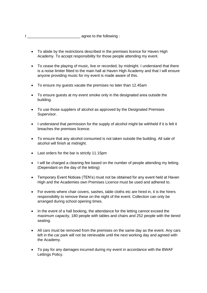I \_\_\_\_\_\_\_\_\_\_\_\_\_\_\_\_\_\_\_\_\_\_\_\_\_ agree to the following :

- To abide by the restrictions described in the premises licence for Haven High Academy. To accept responsibility for those people attending my event.
- To cease the playing of music, live or recorded, by midnight. I understand that there is a noise limiter fitted to the main hall at Haven High Academy and that I will ensure anyone providing music for my event is made aware of this.
- To ensure my guests vacate the premises no later than 12.45am
- To ensure guests at my event smoke only in the designated area outside the building.
- To use those suppliers of alcohol as approved by the Designated Premises Supervisor.
- I understand that permission for the supply of alcohol might be withheld if it is felt it breaches the premises licence.
- To ensure that any alcohol consumed is not taken outside the building. All sale of alcohol will finish at midnight.
- Last orders for the bar is strictly 11.15pm
- I will be charged a cleaning fee based on the number of people attending my letting. (Dependant on the day of the letting)
- Temporary Event Notices (TEN's) must not be obtained for any event held at Haven High and the Academies own Premises Licence must be used and adhered to.
- For events where chair covers, sashes, table cloths etc are hired in, it is the hirers responsibility to remove these on the night of the event. Collection can only be arranged during school opening times.
- In the event of a hall booking, the attendance for the letting cannot exceed the maximum capacity, 180 people with tables and chairs and 252 people with the tiered seating.
- All cars must be removed from the premises on the same day as the event. Any cars left in the car park will not be retrievable until the next working day and agreed with the Academy.
- To pay for any damages incurred during my event in accordance with the BWAF Lettings Policy.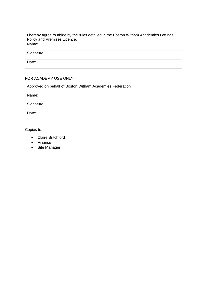I hereby agree to abide by the rules detailed in the Boston Witham Academies Lettings Policy and Premises Licence. Name:

Signature:

Date:

# FOR ACADEMY USE ONLY

| Approved on behalf of Boston Witham Academies Federation |  |  |  |  |  |
|----------------------------------------------------------|--|--|--|--|--|
|                                                          |  |  |  |  |  |
| Name:                                                    |  |  |  |  |  |
|                                                          |  |  |  |  |  |
| Signature:                                               |  |  |  |  |  |
|                                                          |  |  |  |  |  |
|                                                          |  |  |  |  |  |
| Date:                                                    |  |  |  |  |  |
|                                                          |  |  |  |  |  |

Copies to:

- Claire Britchford
- Finance
- Site Manager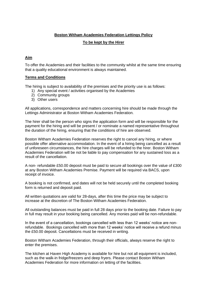# **Boston Witham Academies Federation Lettings Policy**

# **To be kept by the Hirer**

# **Aim**

To offer the Academies and their facilities to the community whilst at the same time ensuring that a quality educational environment is always maintained.

# **Terms and Conditions**

The hiring is subject to availability of the premises and the priority use is as follows:

- 1) Any special event / activities organised by the Academies
- 2) Community groups
- 3) Other users

All applications, correspondence and matters concerning hire should be made through the Lettings Administrator at Boston Witham Academies Federation.

The hirer shall be the person who signs the application form and will be responsible for the payment for the hiring and will be present / or nominate a named representative throughout the duration of the hiring, ensuring that the conditions of hire are observed.

Boston Witham Academies Federation reserves the right to cancel any hiring, or where possible offer alternative accommodation. In the event of a hiring being cancelled as a result of unforeseen circumstances, the hire charges will be refunded to the hirer. Boston Witham Academies Federation will be not be liable to pay compensation for any sustained loss as a result of the cancellation.

A non- refundable £50.00 deposit must be paid to secure all bookings over the value of £300 at any Boston Witham Academies Premise. Payment will be required via BACS, upon receipt of invoice.

A booking is not confirmed, and dates will not be held securely until the completed booking form is returned and deposit paid.

All written quotations are valid for 28-days, after this time the price may be subject to increase at the discretion of The Boston Witham Academies Federation.

All outstanding balances must be paid in full 28 days prior to the booking date. Failure to pay in full may result in your booking being cancelled. Any monies paid will be non-refundable.

In the event of a cancellation, bookings cancelled with less than 12 weeks' notice are nonrefundable. Bookings cancelled with more than 12 weeks' notice will receive a refund minus the £50.00 deposit. Cancellations must be received in writing.

Boston Witham Academies Federation, through their officials, always reserve the right to enter the premises.

The kitchen at Haven High Academy is available for hire but not all equipment is included, such as the walk-in fridge/freezers and deep fryers. Please contact Boston Witham Academies Federation for more information on letting of the facilities.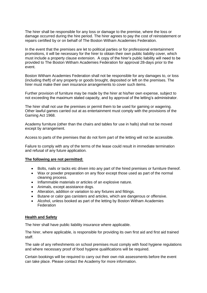The hirer shall be responsible for any loss or damage to the premise, where the loss or damage occurred during the hire period. The hirer agrees to pay the cost of reinstatement or repairs certified by or on behalf of The Boston Witham Academies Federation.

In the event that the premises are let to political parties or for professional entertainment promotions, it will be necessary for the hirer to obtain their own public liability cover, which must include a property clause extension. A copy of the hirer's public liability will need to be provided to The Boston Witham Academies Federation for approval 28-days prior to the event.

Boston Witham Academies Federation shall not be responsible for any damages to, or loss (including theft) of any property or goods brought, deposited or left on the premises. The hirer must make their own insurance arrangements to cover such items.

Further provision of furniture may be made by the hirer at his/her own expense, subject to not exceeding the maximum stated capacity, and by approval of the letting's administrator.

The hirer shall not use the premises or permit them to be used for gaming or wagering. Other lawful games carried out at as entertainment must comply with the provisions of the Gaming Act 1968.

Academy furniture (other than the chairs and tables for use in halls) shall not be moved except by arrangement.

Access to parts of the premises that do not form part of the letting will not be accessible.

Failure to comply with any of the terms of the lease could result in immediate termination and refusal of any future application.

#### **The following are not permitted:**

- Bolts, nails or tacks etc driven into any part of the hired premises or furniture thereof.
- Wax or powder preparation on any floor except those used as part of the normal cleaning process.
- Inflammable materials or articles of an explosive nature.
- Animals, except assistance dogs.
- Alteration, addition or variation to any fixtures and fittings.
- Butane or calor gas canisters and articles, which are dangerous or offensive.
- Alcohol, unless booked as part of the letting by Boston Witham Academies **Federation**

#### **Health and Safety**

The hirer shall have public liability insurance where applicable.

The hirer, where applicable, is responsible for providing its own first aid and first aid trained staff.

The sale of any refreshments on school premises must comply with food hygiene regulations and where necessary proof of food hygiene qualifications will be required.

Certain bookings will be required to carry out their own risk assessments before the event can take place. Please contact the Academy for more information.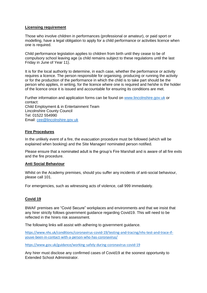### **Licensing requirement**

Those who involve children in performances (professional or amateur), or paid sport or modelling, have a legal obligation to apply for a child performance or activities licence when one is required.

Child performance legislation applies to children from birth until they cease to be of compulsory school leaving age (a child remains subject to these regulations until the last Friday in June of Year 11).

It is for the local authority to determine, in each case, whether the performance or activity requires a licence. The person responsible for organising, producing or running the activity or for the production of the performance in which the child is to take part should be the person who applies, in writing, for the licence where one is required and he/she is the holder of the licence once it is issued and accountable for ensuring its conditions are met.

Further information and application forms can be found on [www.lincolnshire.gov.uk](http://www.lincolnshire.gov.uk/) or contact: Child Employment & in Entertainment Team Lincolnshire County Council Tel: 01522 554990 Email: [cee@lincolnshire.gov.uk](mailto:cee@lincolnshire.gov.uk)

# **Fire Procedures**

In the unlikely event of a fire, the evacuation procedure must be followed (which will be explained when booking) and the Site Manager/ nominated person notified.

Please ensure that a nominated adult is the group's Fire Marshall and is aware of all fire exits and the fire procedure.

# **Anti Social Behaviour**

Whilst on the Academy premises, should you suffer any incidents of anti-social behaviour, please call 101.

For emergencies, such as witnessing acts of violence, call 999 immediately.

# **Covid 19**

BWAF premises are "Covid Secure" workplaces and environments and that we insist that any hirer strictly follows government guidance regarding Covid19. This will need to be reflected in the hirers risk assessment.

The following links will assist with adhering to government guidance.

https://www.nhs.uk/conditions/coronavirus-covid-19/testing-and-tracing/nhs-test-and-trace-ifyouve-been-in-contact-with-a-person-who-has-coronavirus/

https://www.gov.uk/guidance/working-safely-during-coronavirus-covid-19

Any hirer must disclose any confirmed cases of Covid19 at the soonest opportunity to Extended School Administrator.